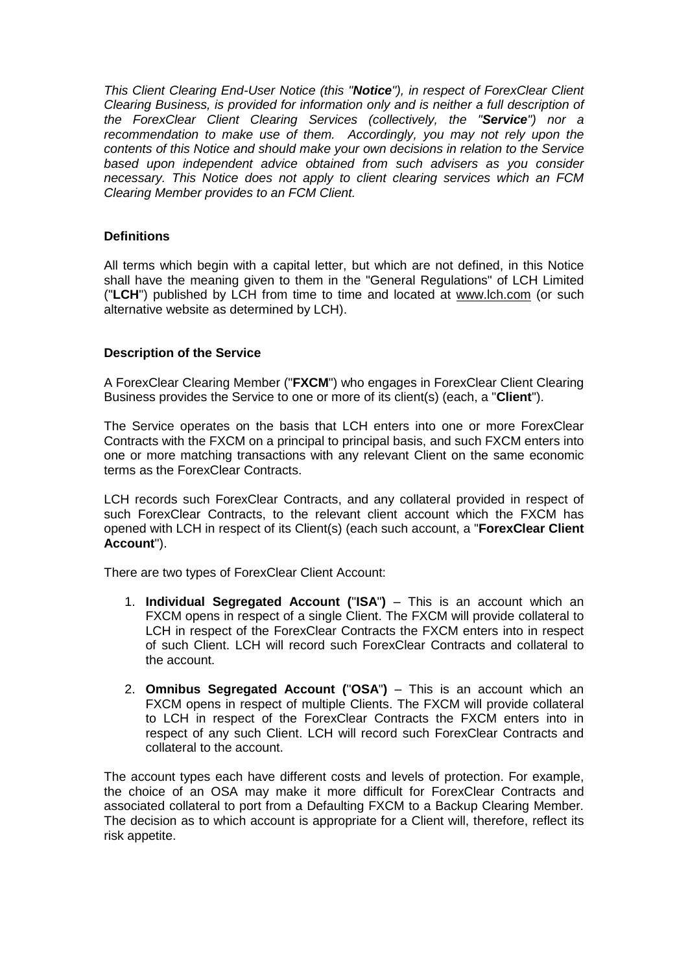*This Client Clearing End-User Notice (this "Notice"), in respect of ForexClear Client Clearing Business, is provided for information only and is neither a full description of the ForexClear Client Clearing Services (collectively, the "Service") nor a recommendation to make use of them. Accordingly, you may not rely upon the contents of this Notice and should make your own decisions in relation to the Service based upon independent advice obtained from such advisers as you consider necessary. This Notice does not apply to client clearing services which an FCM Clearing Member provides to an FCM Client.*

## **Definitions**

All terms which begin with a capital letter, but which are not defined, in this Notice shall have the meaning given to them in the "General Regulations" of LCH Limited ("**LCH**") published by LCH from time to time and located at [www.lch.com](http://www.lch.com/) (or such alternative website as determined by LCH).

## **Description of the Service**

A ForexClear Clearing Member ("**FXCM**") who engages in ForexClear Client Clearing Business provides the Service to one or more of its client(s) (each, a "**Client**").

The Service operates on the basis that LCH enters into one or more ForexClear Contracts with the FXCM on a principal to principal basis, and such FXCM enters into one or more matching transactions with any relevant Client on the same economic terms as the ForexClear Contracts.

LCH records such ForexClear Contracts, and any collateral provided in respect of such ForexClear Contracts, to the relevant client account which the FXCM has opened with LCH in respect of its Client(s) (each such account, a "**ForexClear Client Account**").

There are two types of ForexClear Client Account:

- 1. **Individual Segregated Account (**"**ISA**"**)** This is an account which an FXCM opens in respect of a single Client. The FXCM will provide collateral to LCH in respect of the ForexClear Contracts the FXCM enters into in respect of such Client. LCH will record such ForexClear Contracts and collateral to the account.
- 2. **Omnibus Segregated Account (**"**OSA**"**)** This is an account which an FXCM opens in respect of multiple Clients. The FXCM will provide collateral to LCH in respect of the ForexClear Contracts the FXCM enters into in respect of any such Client. LCH will record such ForexClear Contracts and collateral to the account.

The account types each have different costs and levels of protection. For example, the choice of an OSA may make it more difficult for ForexClear Contracts and associated collateral to port from a Defaulting FXCM to a Backup Clearing Member. The decision as to which account is appropriate for a Client will, therefore, reflect its risk appetite.